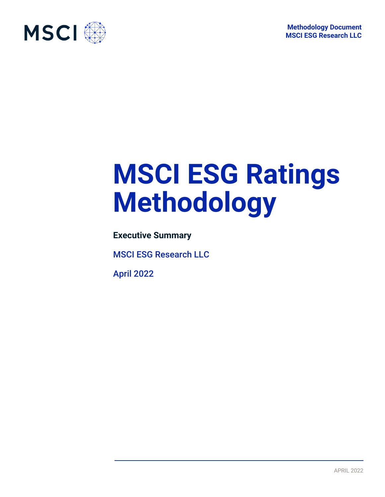

# **MSCI ESG Ratings Methodology**

**Executive Summary**

MSCI ESG Research LLC

April 2022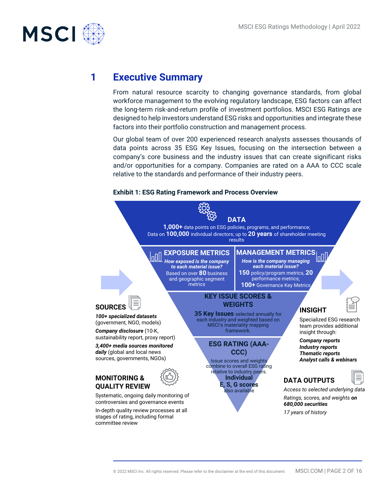

## **1 Executive Summary**

From natural resource scarcity to changing governance standards, from global workforce management to the evolving regulatory landscape, ESG factors can affect the long-term risk-and-return profile of investment portfolios. MSCI ESG Ratings are designed to help investors understand ESG risks and opportunities and integrate these factors into their portfolio construction and management process.

Our global team of over 200 experienced research analysts assesses thousands of data points across 35 ESG Key Issues, focusing on the intersection between a company's core business and the industry issues that can create significant risks and/or opportunities for a company. Companies are rated on a AAA to CCC scale relative to the standards and performance of their industry peers.

#### **Exhibit 1: ESG Rating Framework and Process Overview**

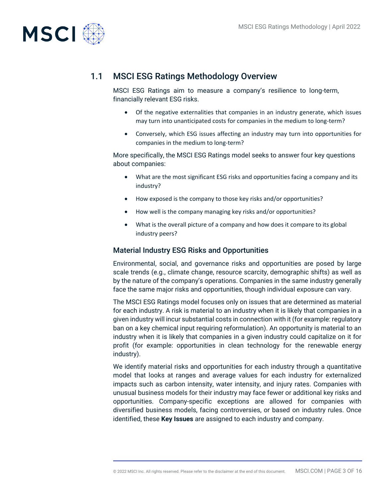

## 1.1 MSCI ESG Ratings Methodology Overview

MSCI ESG Ratings aim to measure a company's resilience to long-term, financially relevant ESG risks.

- Of the negative externalities that companies in an industry generate, which issues may turn into unanticipated costs for companies in the medium to long-term?
- Conversely, which ESG issues affecting an industry may turn into opportunities for companies in the medium to long-term?

More specifically, the MSCI ESG Ratings model seeks to answer four key questions about companies:

- What are the most significant ESG risks and opportunities facing a company and its industry?
- How exposed is the company to those key risks and/or opportunities?
- How well is the company managing key risks and/or opportunities?
- What is the overall picture of a company and how does it compare to its global industry peers?

#### Material Industry ESG Risks and Opportunities

Environmental, social, and governance risks and opportunities are posed by large scale trends (e.g., climate change, resource scarcity, demographic shifts) as well as by the nature of the company's operations. Companies in the same industry generally face the same major risks and opportunities, though individual exposure can vary.

The MSCI ESG Ratings model focuses only on issues that are determined as material for each industry. A risk is material to an industry when it is likely that companies in a given industry will incur substantial costs in connection with it (for example: regulatory ban on a key chemical input requiring reformulation). An opportunity is material to an industry when it is likely that companies in a given industry could capitalize on it for profit (for example: opportunities in clean technology for the renewable energy industry).

We identify material risks and opportunities for each industry through a quantitative model that looks at ranges and average values for each industry for externalized impacts such as carbon intensity, water intensity, and injury rates. Companies with unusual business models for their industry may face fewer or additional key risks and opportunities. Company-specific exceptions are allowed for companies with diversified business models, facing controversies, or based on industry rules. Once identified, these **Key Issues** are assigned to each industry and company.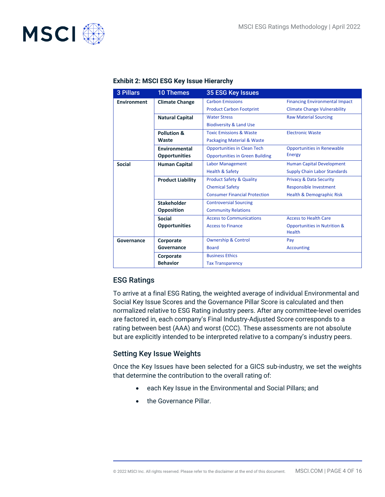

| <b>3 Pillars</b>   | <b>10 Themes</b>         | <b>35 ESG Key Issues</b>               |                                         |
|--------------------|--------------------------|----------------------------------------|-----------------------------------------|
| <b>Environment</b> | <b>Climate Change</b>    | <b>Carbon Emissions</b>                | <b>Financing Environmental Impact</b>   |
|                    |                          | <b>Product Carbon Footprint</b>        | <b>Climate Change Vulnerability</b>     |
|                    | <b>Natural Capital</b>   | <b>Water Stress</b>                    | <b>Raw Material Sourcing</b>            |
|                    |                          | <b>Biodiversity &amp; Land Use</b>     |                                         |
|                    | Pollution &              | <b>Toxic Emissions &amp; Waste</b>     | <b>Electronic Waste</b>                 |
|                    | Waste                    | <b>Packaging Material &amp; Waste</b>  |                                         |
|                    | Environmental            | <b>Opportunities in Clean Tech</b>     | <b>Opportunities in Renewable</b>       |
|                    | <b>Opportunities</b>     | <b>Opportunities in Green Building</b> | <b>Energy</b>                           |
| <b>Social</b>      | <b>Human Capital</b>     | <b>Labor Management</b>                | <b>Human Capital Development</b>        |
|                    |                          | <b>Health &amp; Safety</b>             | <b>Supply Chain Labor Standards</b>     |
|                    | <b>Product Liability</b> | <b>Product Safety &amp; Quality</b>    | <b>Privacy &amp; Data Security</b>      |
|                    |                          | <b>Chemical Safety</b>                 | Responsible Investment                  |
|                    |                          | <b>Consumer Financial Protection</b>   | <b>Health &amp; Demographic Risk</b>    |
|                    | <b>Stakeholder</b>       | <b>Controversial Sourcing</b>          |                                         |
|                    | <b>Opposition</b>        | <b>Community Relations</b>             |                                         |
|                    | <b>Social</b>            | <b>Access to Communications</b>        | <b>Access to Health Care</b>            |
|                    | <b>Opportunities</b>     | <b>Access to Finance</b>               | <b>Opportunities in Nutrition &amp;</b> |
|                    |                          |                                        | Health                                  |
| Governance         | Corporate                | <b>Ownership &amp; Control</b>         | Pay                                     |
|                    | Governance               | <b>Board</b>                           | <b>Accounting</b>                       |
|                    | Corporate                | <b>Business Ethics</b>                 |                                         |
|                    | <b>Behavior</b>          | <b>Tax Transparency</b>                |                                         |

#### **Exhibit 2: MSCI ESG Key Issue Hierarchy**

#### ESG Ratings

To arrive at a final ESG Rating, the weighted average of individual Environmental and Social Key Issue Scores and the Governance Pillar Score is calculated and then normalized relative to ESG Rating industry peers. After any committee-level overrides are factored in, each company's Final Industry-Adjusted Score corresponds to a rating between best (AAA) and worst (CCC). These assessments are not absolute but are explicitly intended to be interpreted relative to a company's industry peers.

#### Setting Key Issue Weights

Once the Key Issues have been selected for a GICS sub-industry, we set the weights that determine the contribution to the overall rating of:

- each Key Issue in the Environmental and Social Pillars; and
- the Governance Pillar.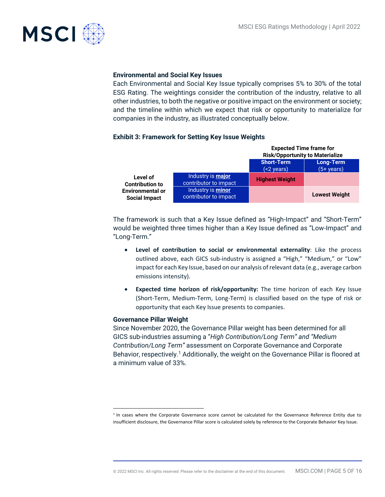

#### **Environmental and Social Key Issues**

Each Environmental and Social Key Issue typically comprises 5% to 30% of the total ESG Rating. The weightings consider the contribution of the industry, relative to all other industries, to both the negative or positive impact on the environment or society; and the timeline within which we expect that risk or opportunity to materialize for companies in the industry, as illustrated conceptually below.

#### **Exhibit 3: Framework for Setting Key Issue Weights**

|                                                 |                                                   | <b>Expected Time frame for</b><br><b>Risk/Opportunity to Materialize</b> |                                  |
|-------------------------------------------------|---------------------------------------------------|--------------------------------------------------------------------------|----------------------------------|
|                                                 |                                                   | <b>Short-Term</b><br>(<2 years)                                          | Long-Term<br>$(5+ \text{years})$ |
| Level of<br><b>Contribution to</b>              | Industry is <b>major</b><br>contributor to impact | <b>Highest Weight</b>                                                    |                                  |
| <b>Environmental or</b><br><b>Social Impact</b> | Industry is <b>minor</b><br>contributor to impact |                                                                          | <b>Lowest Weight</b>             |

The framework is such that a Key Issue defined as "High-Impact" and "Short-Term" would be weighted three times higher than a Key Issue defined as "Low-Impact" and "Long-Term."

- **Level of contribution to social or environmental externality**: Like the process outlined above, each GICS sub-industry is assigned a "High," "Medium," or "Low" impact for each Key Issue, based on our analysis of relevant data (e.g., average carbon emissions intensity).
- **Expected time horizon of risk/opportunity:** The time horizon of each Key Issue (Short-Term, Medium-Term, Long-Term) is classified based on the type of risk or opportunity that each Key Issue presents to companies.

#### **Governance Pillar Weight**

Since November 2020, the Governance Pillar weight has been determined for all GICS sub-industries assuming a "*High Contribution/Long Term" and "Medium Contribution/Long Term"* assessment on Corporate Governance and Corporate Behavior, respectively.<sup>1</sup> Additionally, the weight on the Governance Pillar is floored at a minimum value of 33%.

<sup>&</sup>lt;sup>1</sup> In cases where the Corporate Governance score cannot be calculated for the Governance Reference Entity due to insufficient disclosure, the Governance Pillar score is calculated solely by reference to the Corporate Behavior Key Issue.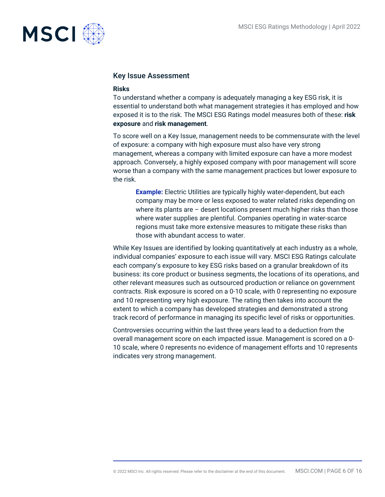

#### Key Issue Assessment

#### **Risks**

To understand whether a company is adequately managing a key ESG risk, it is essential to understand both what management strategies it has employed and how exposed it is to the risk. The MSCI ESG Ratings model measures both of these: **risk exposure** and **risk management**.

To score well on a Key Issue, management needs to be commensurate with the level of exposure: a company with high exposure must also have very strong management, whereas a company with limited exposure can have a more modest approach. Conversely, a highly exposed company with poor management will score worse than a company with the same management practices but lower exposure to the risk.

**Example:** Electric Utilities are typically highly water-dependent, but each company may be more or less exposed to water related risks depending on where its plants are – desert locations present much higher risks than those where water supplies are plentiful. Companies operating in water-scarce regions must take more extensive measures to mitigate these risks than those with abundant access to water.

While Key Issues are identified by looking quantitatively at each industry as a whole, individual companies' exposure to each issue will vary. MSCI ESG Ratings calculate each company's exposure to key ESG risks based on a granular breakdown of its business: its core product or business segments, the locations of its operations, and other relevant measures such as outsourced production or reliance on government contracts. Risk exposure is scored on a 0-10 scale, with 0 representing no exposure and 10 representing very high exposure. The rating then takes into account the extent to which a company has developed strategies and demonstrated a strong track record of performance in managing its specific level of risks or opportunities.

Controversies occurring within the last three years lead to a deduction from the overall management score on each impacted issue. Management is scored on a 0- 10 scale, where 0 represents no evidence of management efforts and 10 represents indicates very strong management.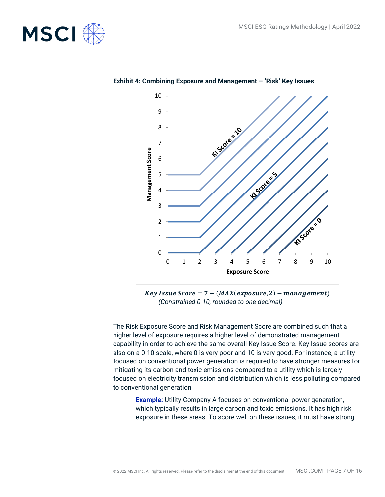



**Exhibit 4: Combining Exposure and Management – 'Risk' Key Issues**

 $Key Issue Score = 7 - (MAX(expasure, 2) - management)$ *(Constrained 0-10, rounded to one decimal)*

The Risk Exposure Score and Risk Management Score are combined such that a higher level of exposure requires a higher level of demonstrated management capability in order to achieve the same overall Key Issue Score. Key Issue scores are also on a 0-10 scale, where 0 is very poor and 10 is very good. For instance, a utility focused on conventional power generation is required to have stronger measures for mitigating its carbon and toxic emissions compared to a utility which is largely focused on electricity transmission and distribution which is less polluting compared to conventional generation.

**Example:** Utility Company A focuses on conventional power generation, which typically results in large carbon and toxic emissions. It has high risk exposure in these areas. To score well on these issues, it must have strong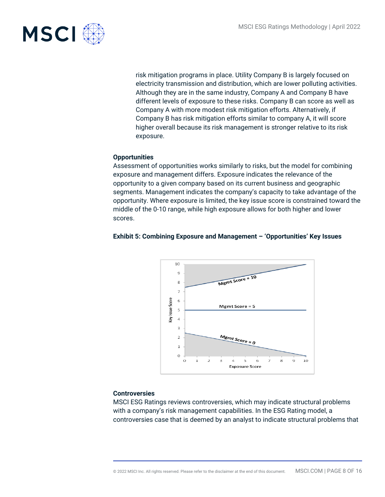

risk mitigation programs in place. Utility Company B is largely focused on electricity transmission and distribution, which are lower polluting activities. Although they are in the same industry, Company A and Company B have different levels of exposure to these risks. Company B can score as well as Company A with more modest risk mitigation efforts. Alternatively, if Company B has risk mitigation efforts similar to company A, it will score higher overall because its risk management is stronger relative to its risk exposure.

#### **Opportunities**

Assessment of opportunities works similarly to risks, but the model for combining exposure and management differs. Exposure indicates the relevance of the opportunity to a given company based on its current business and geographic segments. Management indicates the company's capacity to take advantage of the opportunity. Where exposure is limited, the key issue score is constrained toward the middle of the 0-10 range, while high exposure allows for both higher and lower scores.

#### **Exhibit 5: Combining Exposure and Management – 'Opportunities' Key Issues**



#### **Controversies**

MSCI ESG Ratings reviews controversies, which may indicate structural problems with a company's risk management capabilities. In the ESG Rating model, a controversies case that is deemed by an analyst to indicate structural problems that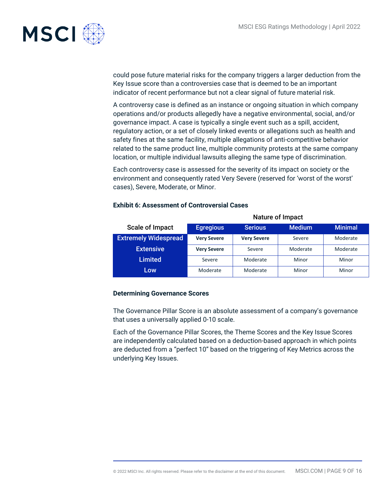

could pose future material risks for the company triggers a larger deduction from the Key Issue score than a controversies case that is deemed to be an important indicator of recent performance but not a clear signal of future material risk.

A controversy case is defined as an instance or ongoing situation in which company operations and/or products allegedly have a negative environmental, social, and/or governance impact. A case is typically a single event such as a spill, accident, regulatory action, or a set of closely linked events or allegations such as health and safety fines at the same facility, multiple allegations of anti-competitive behavior related to the same product line, multiple community protests at the same company location, or multiple individual lawsuits alleging the same type of discrimination.

Each controversy case is assessed for the severity of its impact on society or the environment and consequently rated Very Severe (reserved for 'worst of the worst' cases), Severe, Moderate, or Minor.

#### Scale of Impact Nature of Impact Egregious Serious Medium Minimal **Extremely Widespread** Very Severe Very Severe Severe Moderate **Extensive Very Severe Severe Severe Moderate Moderate** Limited Severe Moderate Minor Minor Minor Low Moderate Moderate Moderate Minor Minor

#### **Exhibit 6: Assessment of Controversial Cases**

#### **Determining Governance Scores**

The Governance Pillar Score is an absolute assessment of a company's governance that uses a universally applied 0-10 scale.

Each of the Governance Pillar Scores, the Theme Scores and the Key Issue Scores are independently calculated based on a deduction-based approach in which points are deducted from a "perfect 10" based on the triggering of Key Metrics across the underlying Key Issues.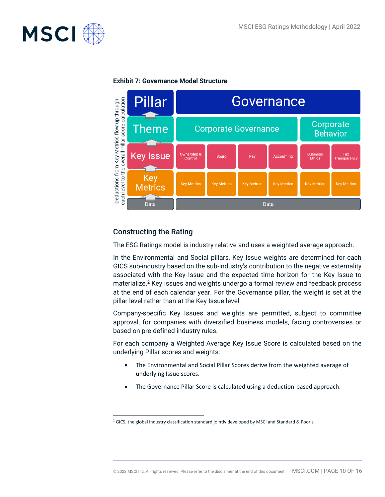



#### **Exhibit 7: Governance Model Structure**

#### Constructing the Rating

The ESG Ratings model is industry relative and uses a weighted average approach.

In the Environmental and Social pillars, Key Issue weights are determined for each GICS sub-industry based on the sub-industry's contribution to the negative externality associated with the Key Issue and the expected time horizon for the Key Issue to materialize.<sup>2</sup> Key Issues and weights undergo a formal review and feedback process at the end of each calendar year. For the Governance pillar, the weight is set at the pillar level rather than at the Key Issue level.

Company-specific Key Issues and weights are permitted, subject to committee approval, for companies with diversified business models, facing controversies or based on pre-defined industry rules.

For each company a Weighted Average Key Issue Score is calculated based on the underlying Pillar scores and weights:

- The Environmental and Social Pillar Scores derive from the weighted average of underlying Issue scores.
- The Governance Pillar Score is calculated using a deduction-based approach.

<sup>&</sup>lt;sup>2</sup> GICS, the global industry classification standard jointly developed by MSCI and Standard & Poor's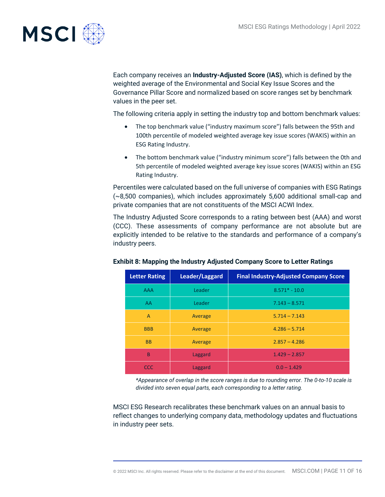

Each company receives an **Industry-Adjusted Score (IAS)**, which is defined by the weighted average of the Environmental and Social Key Issue Scores and the Governance Pillar Score and normalized based on score ranges set by benchmark values in the peer set.

The following criteria apply in setting the industry top and bottom benchmark values:

- The top benchmark value ("industry maximum score") falls between the 95th and 100th percentile of modeled weighted average key issue scores (WAKIS) within an ESG Rating Industry.
- The bottom benchmark value ("industry minimum score") falls between the 0th and 5th percentile of modeled weighted average key issue scores (WAKIS) within an ESG Rating Industry.

Percentiles were calculated based on the full universe of companies with ESG Ratings (~8,500 companies), which includes approximately 5,600 additional small-cap and private companies that are not constituents of the MSCI ACWI Index.

The Industry Adjusted Score corresponds to a rating between best (AAA) and worst (CCC). These assessments of company performance are not absolute but are explicitly intended to be relative to the standards and performance of a company's industry peers.

| <b>Letter Rating</b> | Leader/Laggard | <b>Final Industry-Adjusted Company Score</b> |
|----------------------|----------------|----------------------------------------------|
| <b>AAA</b>           | Leader         | $8.571* - 10.0$                              |
| AA                   | Leader         | $7.143 - 8.571$                              |
| A                    | Average        | $5.714 - 7.143$                              |
| <b>BBB</b>           | Average        | $4.286 - 5.714$                              |
| <b>BB</b>            | Average        | $2.857 - 4.286$                              |
| B                    | Laggard        | $1.429 - 2.857$                              |
| CCC                  | Laggard        | $0.0 - 1.429$                                |

#### **Exhibit 8: Mapping the Industry Adjusted Company Score to Letter Ratings**

*\*Appearance of overlap in the score ranges is due to rounding error. The 0-to-10 scale is divided into seven equal parts, each corresponding to a letter rating.*

MSCI ESG Research recalibrates these benchmark values on an annual basis to reflect changes to underlying company data, methodology updates and fluctuations in industry peer sets.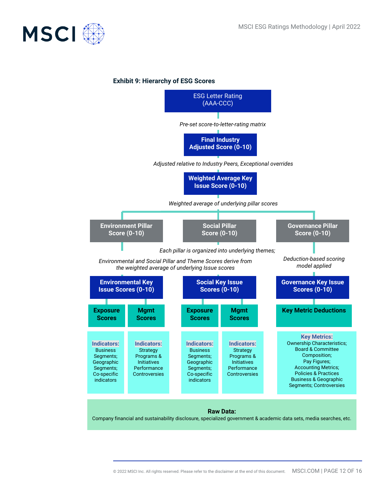

#### **Exhibit 9: Hierarchy of ESG Scores**

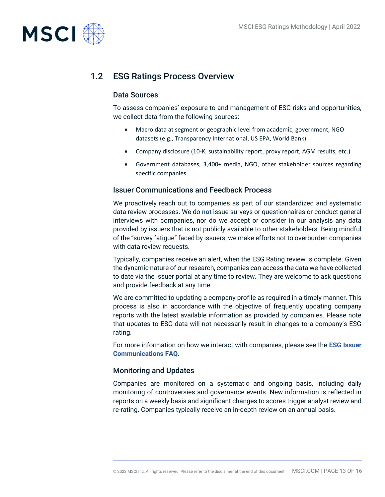

## 1.2 ESG Ratings Process Overview

#### Data Sources

To assess companies' exposure to and management of ESG risks and opportunities, we collect data from the following sources:

- Macro data at segment or geographic level from academic, government, NGO datasets (e.g., Transparency International, US EPA, World Bank)
- Company disclosure (10-K, sustainability report, proxy report, AGM results, etc.)
- Government databases, 3,400+ media, NGO, other stakeholder sources regarding specific companies.

#### Issuer Communications and Feedback Process

We proactively reach out to companies as part of our standardized and systematic data review processes. We do **not** issue surveys or questionnaires or conduct general interviews with companies, nor do we accept or consider in our analysis any data provided by issuers that is not publicly available to other stakeholders. Being mindful of the "survey fatigue" faced by issuers, we make efforts not to overburden companies with data review requests.

Typically, companies receive an alert, when the ESG Rating review is complete. Given the dynamic nature of our research, companies can access the data we have collected to date via the issuer portal at any time to review. They are welcome to ask questions and provide feedback at any time.

We are committed to updating a company profile as required in a timely manner. This process is also in accordance with the objective of frequently updating company reports with the latest available information as provided by companies. Please note that updates to ESG data will not necessarily result in changes to a company's ESG rating.

For more information on how we interact with companies, please see the **ESG Issuer Communications FAQ**.

#### Monitoring and Updates

Companies are monitored on a systematic and ongoing basis, including daily monitoring of controversies and governance events. New information is reflected in reports on a weekly basis and significant changes to scores trigger analyst review and re-rating. Companies typically receive an in-depth review on an annual basis.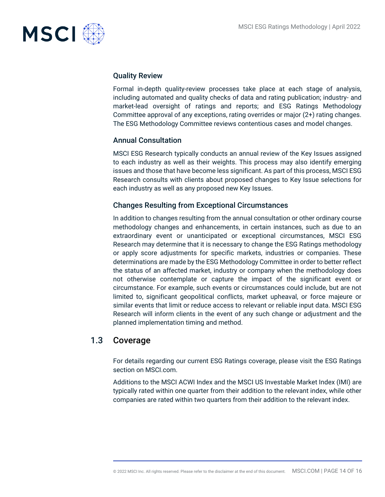

#### Quality Review

Formal in-depth quality-review processes take place at each stage of analysis, including automated and quality checks of data and rating publication; industry- and market-lead oversight of ratings and reports; and ESG Ratings Methodology Committee approval of any exceptions, rating overrides or major (2+) rating changes. The ESG Methodology Committee reviews contentious cases and model changes.

#### Annual Consultation

MSCI ESG Research typically conducts an annual review of the Key Issues assigned to each industry as well as their weights. This process may also identify emerging issues and those that have become less significant. As part of this process, MSCI ESG Research consults with clients about proposed changes to Key Issue selections for each industry as well as any proposed new Key Issues.

#### Changes Resulting from Exceptional Circumstances

In addition to changes resulting from the annual consultation or other ordinary course methodology changes and enhancements, in certain instances, such as due to an extraordinary event or unanticipated or exceptional circumstances, MSCI ESG Research may determine that it is necessary to change the ESG Ratings methodology or apply score adjustments for specific markets, industries or companies. These determinations are made by the ESG Methodology Committee in order to better reflect the status of an affected market, industry or company when the methodology does not otherwise contemplate or capture the impact of the significant event or circumstance. For example, such events or circumstances could include, but are not limited to, significant geopolitical conflicts, market upheaval, or force majeure or similar events that limit or reduce access to relevant or reliable input data. MSCI ESG Research will inform clients in the event of any such change or adjustment and the planned implementation timing and method.

### 1.3 Coverage

For details regarding our current ESG Ratings coverage, please visit the ESG Ratings section on MSCI.com.

Additions to the MSCI ACWI Index and the MSCI US Investable Market Index (IMI) are typically rated within one quarter from their addition to the relevant index, while other companies are rated within two quarters from their addition to the relevant index.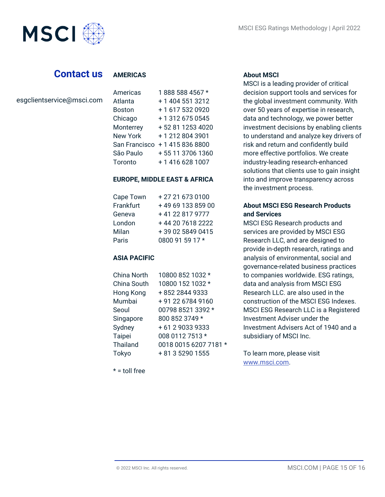

## **Contact us**

#### **AMERICAS**

| esgclientservice@msci.com |
|---------------------------|
|---------------------------|

| <u>AURICIO</u>  | , uuu uuu <del>1</del> uu7 |
|-----------------|----------------------------|
| Atlanta         | + 1 404 551 3212           |
| <b>Boston</b>   | +16175320920               |
| Chicago         | + 1 312 675 0545           |
| Monterrey       | +52 81 1253 4020           |
| <b>New York</b> | +12128043901               |
| San Francisco   | +14158368800               |
| São Paulo       | +55 11 3706 1360           |
| Toronto         | +1 416 628 1007            |
|                 |                            |

Americas 1 888 588 4567 \*

#### **EUROPE, MIDDLE EAST & AFRICA**

| Cape Town | +27 21 673 0100  |
|-----------|------------------|
| Frankfurt | +496913385900    |
| Geneva    | +41 22 817 9777  |
| London    | +44 20 7618 2222 |
| Milan     | +39 02 5849 0415 |
| Paris     | 0800 91 59 17 *  |

#### **ASIA PACIFIC**

| China North     | 10800 852 1032 *      |
|-----------------|-----------------------|
| China South     | 10800 152 1032 *      |
| Hong Kong       | +852 2844 9333        |
| Mumbai          | + 91 22 6784 9160     |
| Seoul           | 00798 8521 3392 *     |
| Singapore       | 800 852 3749 *        |
| Sydney          | +61290339333          |
| <b>Taipei</b>   | 008 0112 7513 *       |
| <b>Thailand</b> | 0018 0015 6207 7181 * |
| Tokyo           | + 81 3 5290 1555      |
|                 |                       |

 $* =$  toll free

#### **About MSCI**

MSCI is a leading provider of critical decision support tools and services for the global investment community. With over 50 years of expertise in research, data and technology, we power better investment decisions by enabling clients to understand and analyze key drivers of risk and return and confidently build more effective portfolios. We create industry-leading research-enhanced solutions that clients use to gain insight into and improve transparency across the investment process.

#### **About MSCI ESG Research Products and Services**

MSCI ESG Research products and services are provided by MSCI ESG Research LLC, and are designed to provide in-depth research, ratings and analysis of environmental, social and governance-related business practices to companies worldwide. ESG ratings, data and analysis from MSCI ESG Research LLC. are also used in the construction of the MSCI ESG Indexes. MSCI ESG Research LLC is a Registered Investment Adviser under the Investment Advisers Act of 1940 and a subsidiary of MSCI Inc.

To learn more, please visit www.msci.com.